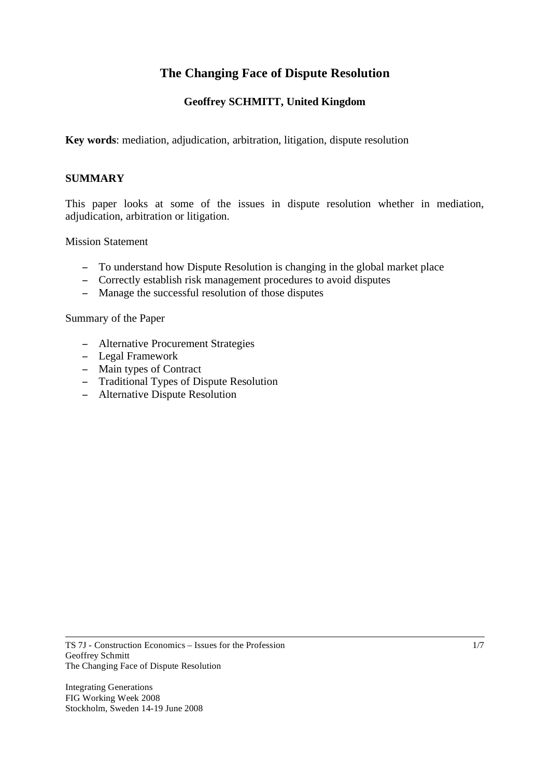# **The Changing Face of Dispute Resolution**

# **Geoffrey SCHMITT, United Kingdom**

**Key words**: mediation, adjudication, arbitration, litigation, dispute resolution

## **SUMMARY**

This paper looks at some of the issues in dispute resolution whether in mediation, adjudication, arbitration or litigation.

## Mission Statement

- To understand how Dispute Resolution is changing in the global market place
- Correctly establish risk management procedures to avoid disputes
- Manage the successful resolution of those disputes

Summary of the Paper

- Alternative Procurement Strategies
- Legal Framework
- Main types of Contract
- Traditional Types of Dispute Resolution
- Alternative Dispute Resolution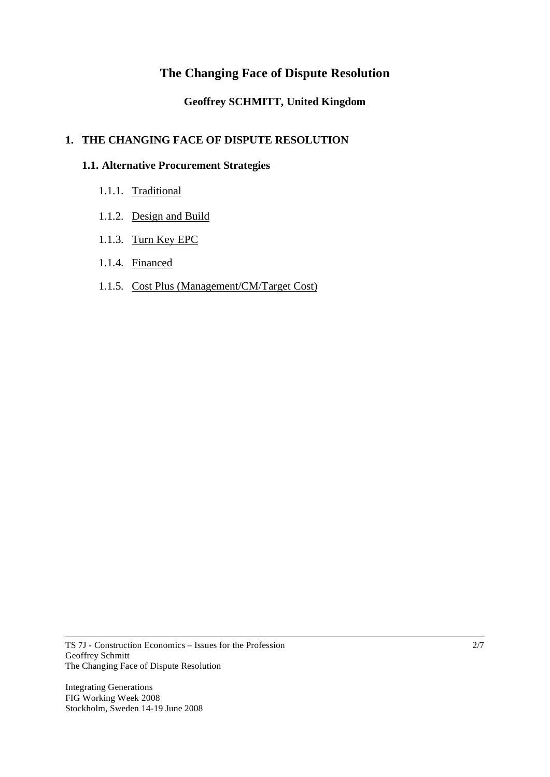# **The Changing Face of Dispute Resolution**

# **Geoffrey SCHMITT, United Kingdom**

## **1. THE CHANGING FACE OF DISPUTE RESOLUTION**

## **1.1. Alternative Procurement Strategies**

- 1.1.1. Traditional
- 1.1.2. Design and Build
- 1.1.3. Turn Key EPC
- 1.1.4. Financed
- 1.1.5. Cost Plus (Management/CM/Target Cost)

Integrating Generations FIG Working Week 2008 Stockholm, Sweden 14-19 June 2008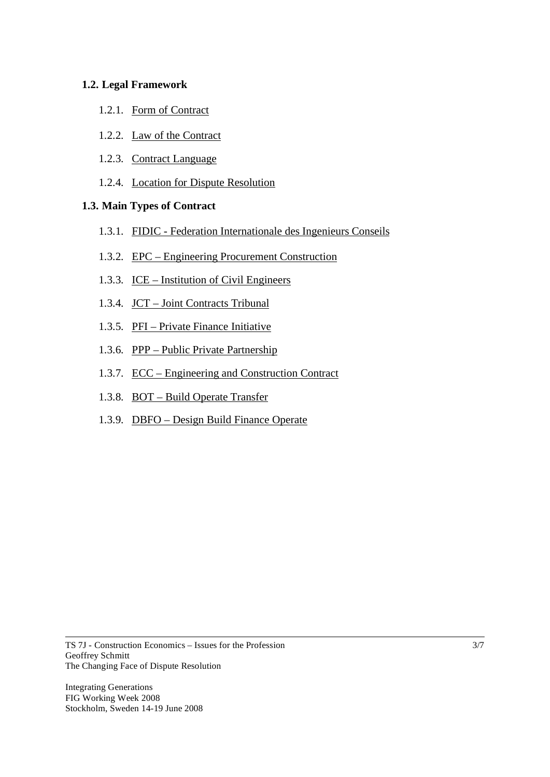## **1.2. Legal Framework**

- 1.2.1. Form of Contract
- 1.2.2. Law of the Contract
- 1.2.3. Contract Language
- 1.2.4. Location for Dispute Resolution

## **1.3. Main Types of Contract**

- 1.3.1. FIDIC Federation Internationale des Ingenieurs Conseils
- 1.3.2. EPC Engineering Procurement Construction
- 1.3.3. ICE Institution of Civil Engineers
- 1.3.4. JCT Joint Contracts Tribunal
- 1.3.5. PFI Private Finance Initiative
- 1.3.6. PPP Public Private Partnership
- 1.3.7. ECC Engineering and Construction Contract
- 1.3.8. BOT Build Operate Transfer
- 1.3.9. DBFO Design Build Finance Operate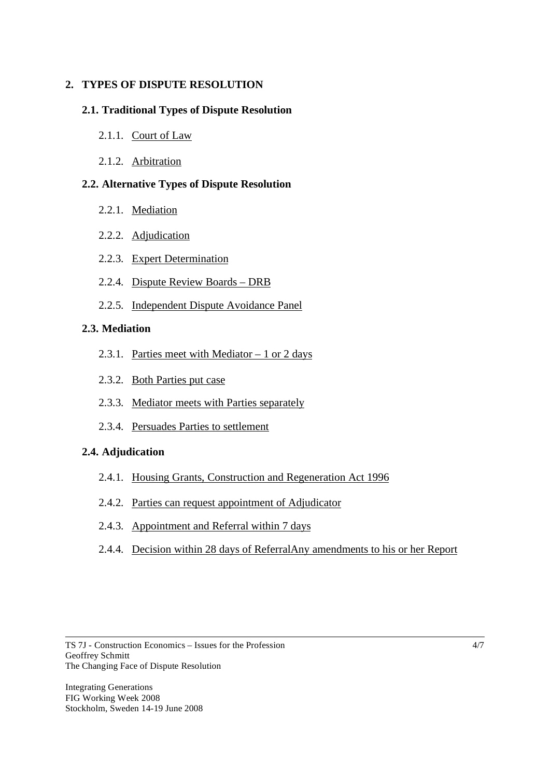## **2. TYPES OF DISPUTE RESOLUTION**

## **2.1. Traditional Types of Dispute Resolution**

- 2.1.1. Court of Law
- 2.1.2. Arbitration

## **2.2. Alternative Types of Dispute Resolution**

- 2.2.1. Mediation
- 2.2.2. Adjudication
- 2.2.3. Expert Determination
- 2.2.4. Dispute Review Boards DRB
- 2.2.5. Independent Dispute Avoidance Panel

## **2.3. Mediation**

- 2.3.1. Parties meet with Mediator 1 or 2 days
- 2.3.2. Both Parties put case
- 2.3.3. Mediator meets with Parties separately
- 2.3.4. Persuades Parties to settlement

## **2.4. Adjudication**

- 2.4.1. Housing Grants, Construction and Regeneration Act 1996
- 2.4.2. Parties can request appointment of Adjudicator
- 2.4.3. Appointment and Referral within 7 days
- 2.4.4. Decision within 28 days of ReferralAny amendments to his or her Report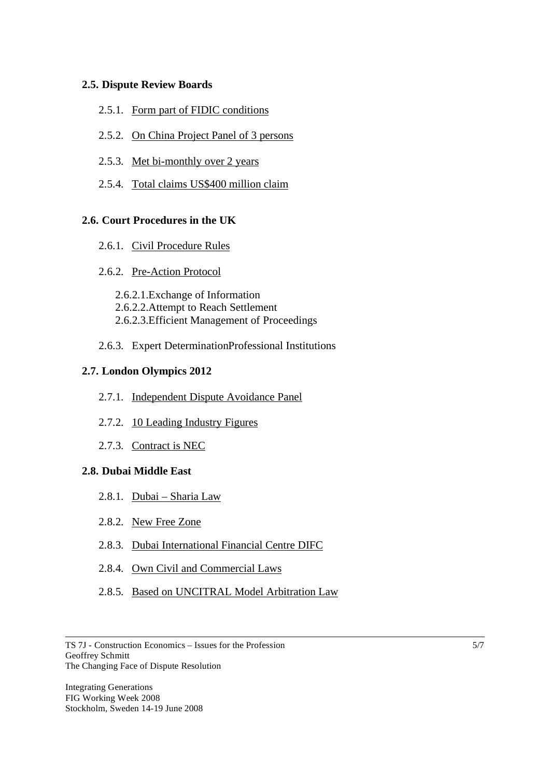#### **2.5. Dispute Review Boards**

- 2.5.1. Form part of FIDIC conditions
- 2.5.2. On China Project Panel of 3 persons
- 2.5.3. Met bi-monthly over 2 years
- 2.5.4. Total claims US\$400 million claim

#### **2.6. Court Procedures in the UK**

- 2.6.1. Civil Procedure Rules
- 2.6.2. Pre-Action Protocol

2.6.2.1.Exchange of Information 2.6.2.2.Attempt to Reach Settlement 2.6.2.3.Efficient Management of Proceedings

2.6.3. Expert DeterminationProfessional Institutions

#### **2.7. London Olympics 2012**

- 2.7.1. Independent Dispute Avoidance Panel
- 2.7.2. 10 Leading Industry Figures
- 2.7.3. Contract is NEC

#### **2.8. Dubai Middle East**

- 2.8.1. Dubai Sharia Law
- 2.8.2. New Free Zone
- 2.8.3. Dubai International Financial Centre DIFC
- 2.8.4. Own Civil and Commercial Laws
- 2.8.5. Based on UNCITRAL Model Arbitration Law

TS 7J - Construction Economics – Issues for the Profession Geoffrey Schmitt The Changing Face of Dispute Resolution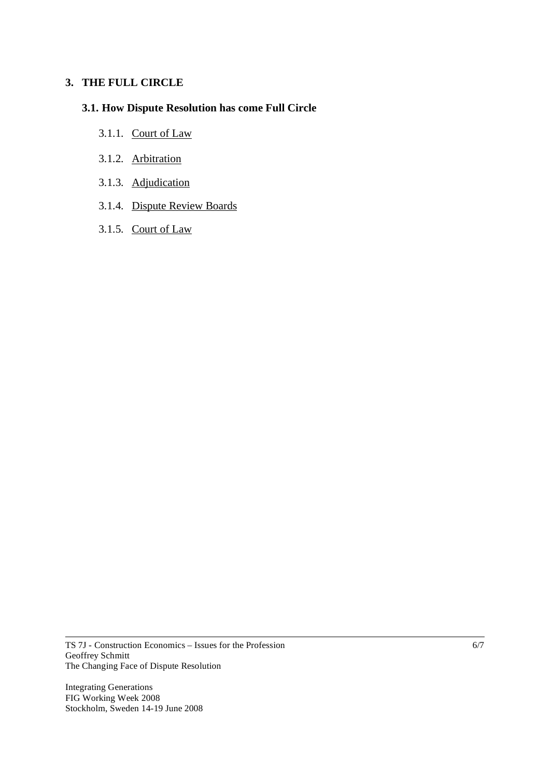#### **3. THE FULL CIRCLE**

# **3.1. How Dispute Resolution has come Full Circle**

- 3.1.1. Court of Law
- 3.1.2. Arbitration
- 3.1.3. Adjudication
- 3.1.4. Dispute Review Boards
- 3.1.5. Court of Law

TS 7J - Construction Economics – Issues for the Profession Geoffrey Schmitt The Changing Face of Dispute Resolution

Integrating Generations FIG Working Week 2008 Stockholm, Sweden 14-19 June 2008